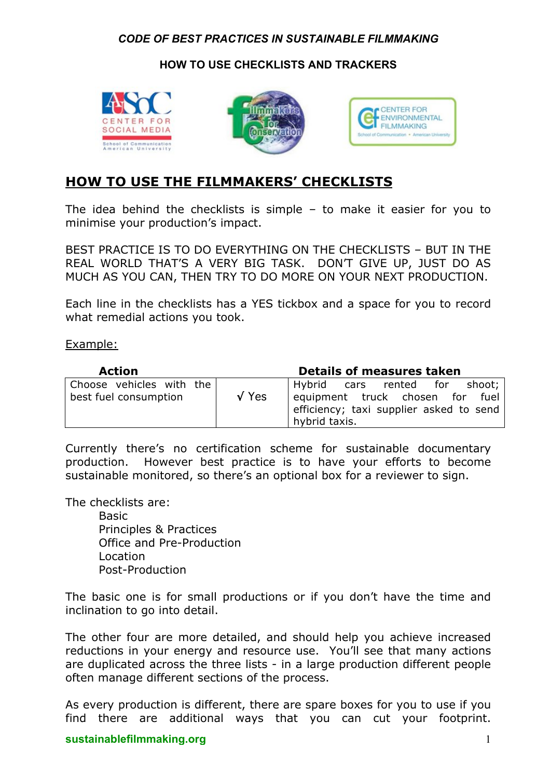### *CODE OF BEST PRACTICES IN SUSTAINABLE FILMMAKING*

## **HOW TO USE CHECKLISTS AND TRACKERS**







# **HOW TO USE THE FILMMAKERS' CHECKLISTS**

The idea behind the checklists is simple – to make it easier for you to minimise your production's impact.

BEST PRACTICE IS TO DO EVERYTHING ON THE CHECKLISTS – BUT IN THE REAL WORLD THAT'S A VERY BIG TASK. DON'T GIVE UP, JUST DO AS MUCH AS YOU CAN, THEN TRY TO DO MORE ON YOUR NEXT PRODUCTION.

Each line in the checklists has a YES tickbox and a space for you to record what remedial actions you took.

#### Example:

| <b>Action</b>                                     |               | <b>Details of measures taken</b>                                                                                             |
|---------------------------------------------------|---------------|------------------------------------------------------------------------------------------------------------------------------|
| Choose vehicles with the<br>best fuel consumption | $\sqrt{Y}$ es | Hybrid cars rented for shoot;<br>equipment truck chosen for fuel<br>efficiency; taxi supplier asked to send<br>hybrid taxis. |

Currently there's no certification scheme for sustainable documentary production. However best practice is to have your efforts to become sustainable monitored, so there's an optional box for a reviewer to sign.

The checklists are:

Basic Principles & Practices Office and Pre-Production Location Post-Production

The basic one is for small productions or if you don't have the time and inclination to go into detail.

The other four are more detailed, and should help you achieve increased reductions in your energy and resource use. You'll see that many actions are duplicated across the three lists - in a large production different people often manage different sections of the process.

As every production is different, there are spare boxes for you to use if you find there are additional ways that you can cut your footprint.